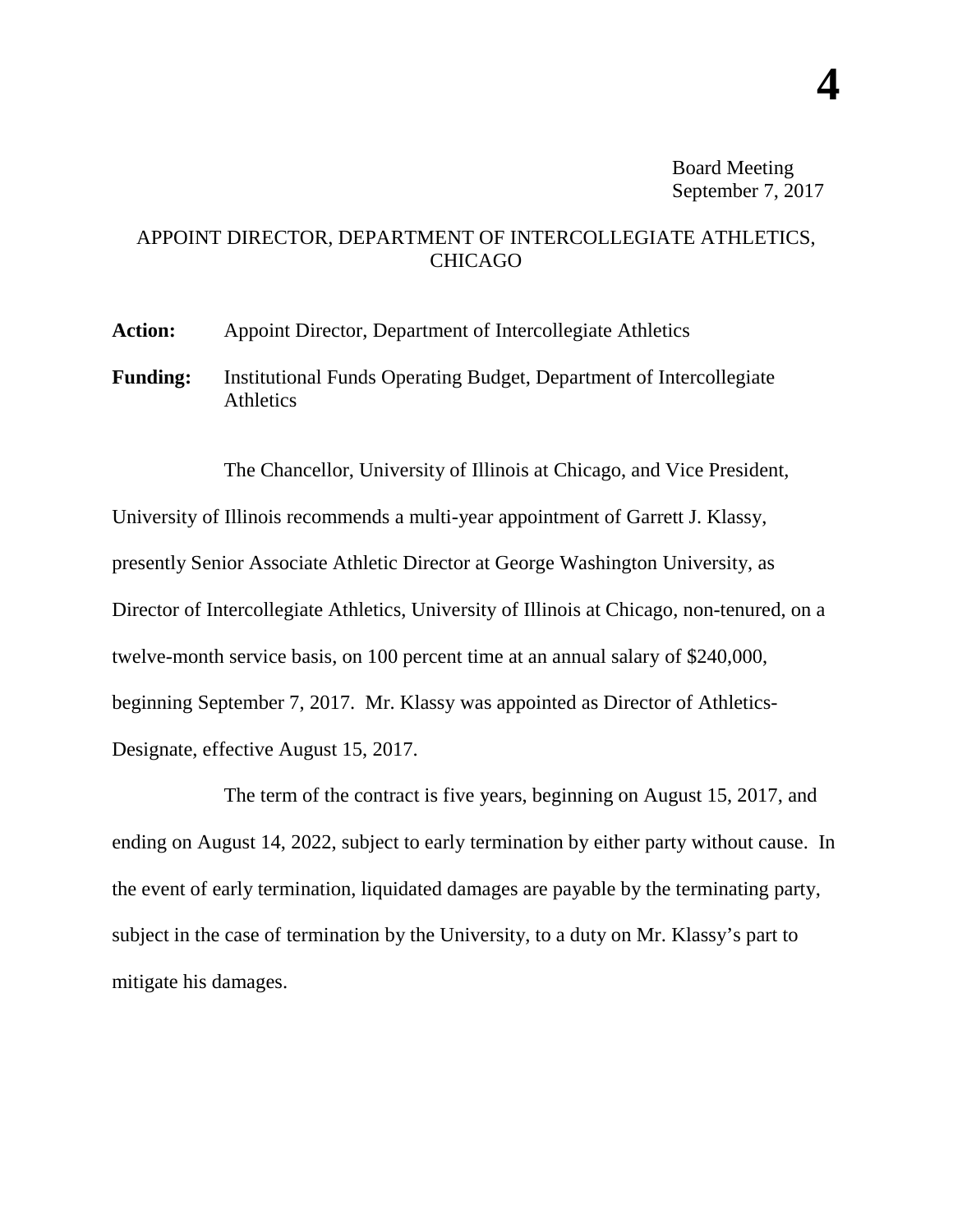## APPOINT DIRECTOR, DEPARTMENT OF INTERCOLLEGIATE ATHLETICS, CHICAGO

**Action:** Appoint Director, Department of Intercollegiate Athletics

**Funding:** Institutional Funds Operating Budget, Department of Intercollegiate Athletics

The Chancellor, University of Illinois at Chicago, and Vice President, University of Illinois recommends a multi-year appointment of Garrett J. Klassy, presently Senior Associate Athletic Director at George Washington University, as Director of Intercollegiate Athletics, University of Illinois at Chicago, non-tenured, on a twelve-month service basis, on 100 percent time at an annual salary of \$240,000, beginning September 7, 2017. Mr. Klassy was appointed as Director of Athletics-Designate, effective August 15, 2017.

The term of the contract is five years, beginning on August 15, 2017, and ending on August 14, 2022, subject to early termination by either party without cause. In the event of early termination, liquidated damages are payable by the terminating party, subject in the case of termination by the University, to a duty on Mr. Klassy's part to mitigate his damages.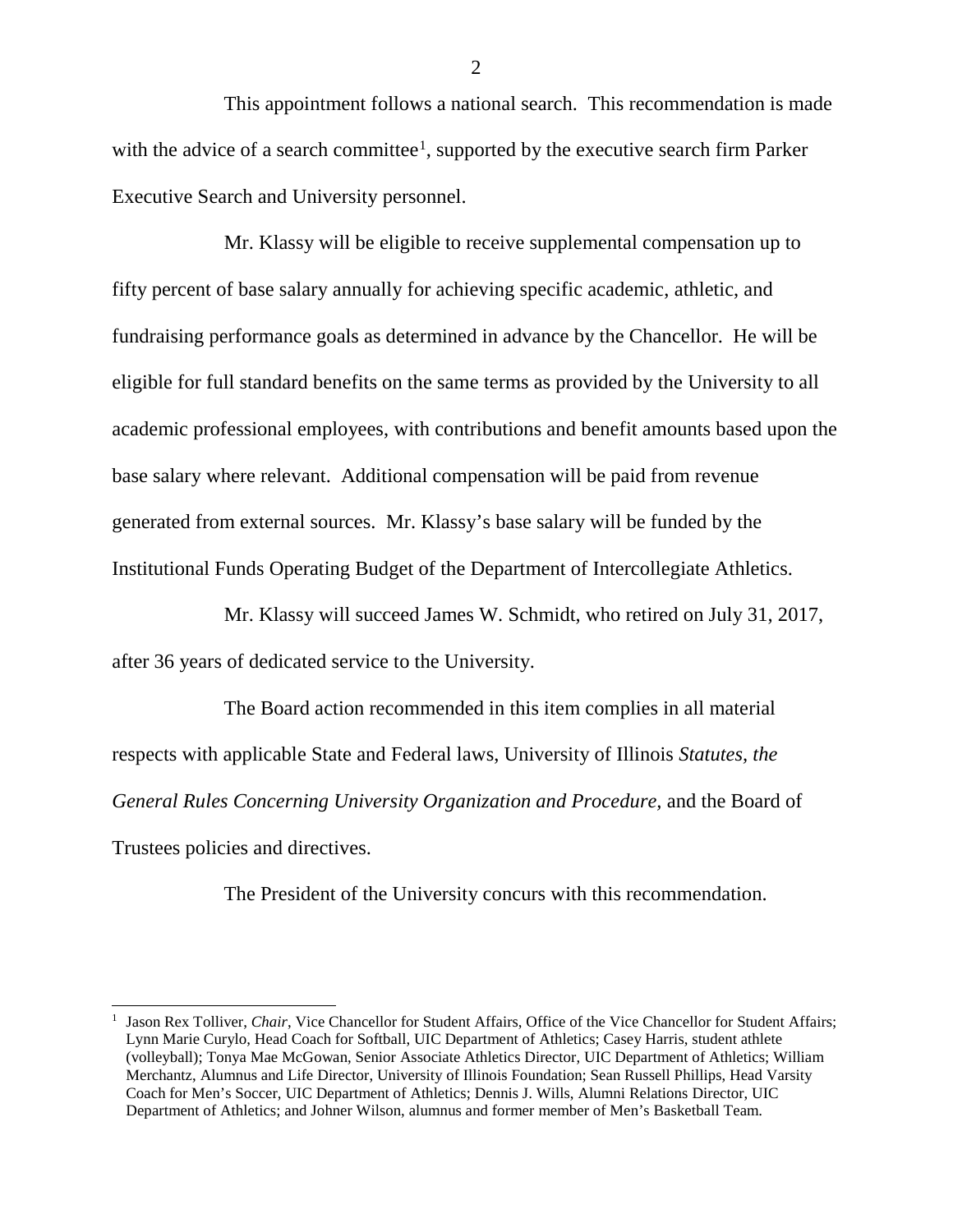This appointment follows a national search. This recommendation is made with the advice of a search committee<sup>[1](#page-1-0)</sup>, supported by the executive search firm Parker Executive Search and University personnel.

Mr. Klassy will be eligible to receive supplemental compensation up to fifty percent of base salary annually for achieving specific academic, athletic, and fundraising performance goals as determined in advance by the Chancellor. He will be eligible for full standard benefits on the same terms as provided by the University to all academic professional employees, with contributions and benefit amounts based upon the base salary where relevant. Additional compensation will be paid from revenue generated from external sources. Mr. Klassy's base salary will be funded by the Institutional Funds Operating Budget of the Department of Intercollegiate Athletics.

Mr. Klassy will succeed James W. Schmidt, who retired on July 31, 2017, after 36 years of dedicated service to the University.

The Board action recommended in this item complies in all material respects with applicable State and Federal laws, University of Illinois *Statutes, the General Rules Concerning University Organization and Procedure,* and the Board of Trustees policies and directives.

The President of the University concurs with this recommendation.

-

2

<span id="page-1-0"></span><sup>1</sup> Jason Rex Tolliver, *Chair*, Vice Chancellor for Student Affairs, Office of the Vice Chancellor for Student Affairs; Lynn Marie Curylo, Head Coach for Softball, UIC Department of Athletics; Casey Harris, student athlete (volleyball); Tonya Mae McGowan, Senior Associate Athletics Director, UIC Department of Athletics; William Merchantz, Alumnus and Life Director, University of Illinois Foundation; Sean Russell Phillips, Head Varsity Coach for Men's Soccer, UIC Department of Athletics; Dennis J. Wills, Alumni Relations Director, UIC Department of Athletics; and Johner Wilson, alumnus and former member of Men's Basketball Team.